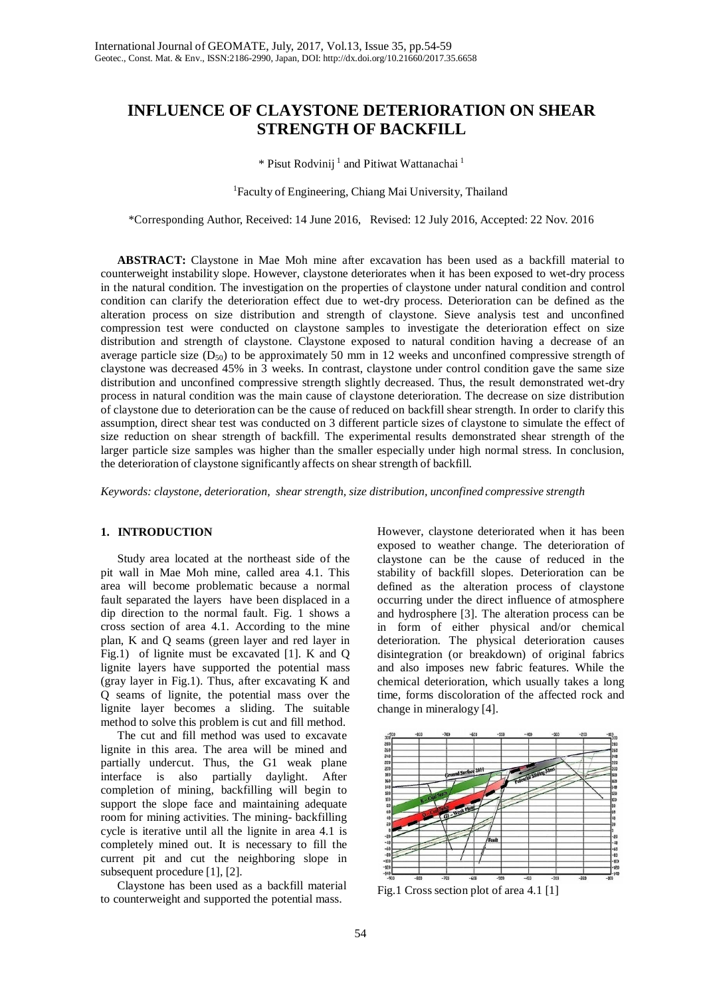# **INFLUENCE OF CLAYSTONE DETERIORATION ON SHEAR STRENGTH OF BACKFILL**

\* Pisut Rodvinij<sup>1</sup> and Pitiwat Wattanachai<sup>1</sup>

#### <sup>1</sup>Faculty of Engineering, Chiang Mai University, Thailand

\*Corresponding Author, Received: 14 June 2016, Revised: 12 July 2016, Accepted: 22 Nov. 2016

**ABSTRACT:** Claystone in Mae Moh mine after excavation has been used as a backfill material to counterweight instability slope. However, claystone deteriorates when it has been exposed to wet-dry process in the natural condition. The investigation on the properties of claystone under natural condition and control condition can clarify the deterioration effect due to wet-dry process. Deterioration can be defined as the alteration process on size distribution and strength of claystone. Sieve analysis test and unconfined compression test were conducted on claystone samples to investigate the deterioration effect on size distribution and strength of claystone. Claystone exposed to natural condition having a decrease of an average particle size  $(D_{50})$  to be approximately 50 mm in 12 weeks and unconfined compressive strength of claystone was decreased 45% in 3 weeks. In contrast, claystone under control condition gave the same size distribution and unconfined compressive strength slightly decreased. Thus, the result demonstrated wet-dry process in natural condition was the main cause of claystone deterioration. The decrease on size distribution of claystone due to deterioration can be the cause of reduced on backfill shear strength. In order to clarify this assumption, direct shear test was conducted on 3 different particle sizes of claystone to simulate the effect of size reduction on shear strength of backfill. The experimental results demonstrated shear strength of the larger particle size samples was higher than the smaller especially under high normal stress. In conclusion, the deterioration of claystone significantly affects on shear strength of backfill.

*Keywords: claystone, deterioration, shear strength, size distribution, unconfined compressive strength*

#### **1. INTRODUCTION**

Study area located at the northeast side of the pit wall in Mae Moh mine, called area 4.1. This area will become problematic because a normal fault separated the layers have been displaced in a dip direction to the normal fault. Fig. 1 shows a cross section of area 4.1. According to the mine plan, K and Q seams (green layer and red layer in Fig.1) of lignite must be excavated [1]. K and Q lignite layers have supported the potential mass (gray layer in Fig.1). Thus, after excavating K and Q seams of lignite, the potential mass over the lignite layer becomes a sliding. The suitable method to solve this problem is cut and fill method.

The cut and fill method was used to excavate lignite in this area. The area will be mined and partially undercut. Thus, the G1 weak plane interface is also partially daylight. After completion of mining, backfilling will begin to support the slope face and maintaining adequate room for mining activities. The mining- backfilling cycle is iterative until all the lignite in area 4.1 is completely mined out. It is necessary to fill the current pit and cut the neighboring slope in subsequent procedure [1], [2].

Claystone has been used as a backfill material to counterweight and supported the potential mass.

However, claystone deteriorated when it has been exposed to weather change. The deterioration of claystone can be the cause of reduced in the stability of backfill slopes. Deterioration can be defined as the alteration process of claystone occurring under the direct influence of atmosphere and hydrosphere [3]. The alteration process can be in form of either physical and/or chemical deterioration. The physical deterioration causes disintegration (or breakdown) of original fabrics and also imposes new fabric features. While the chemical deterioration, which usually takes a long time, forms discoloration of the affected rock and change in mineralogy [4].



Fig.1 Cross section plot of area 4.1 [1]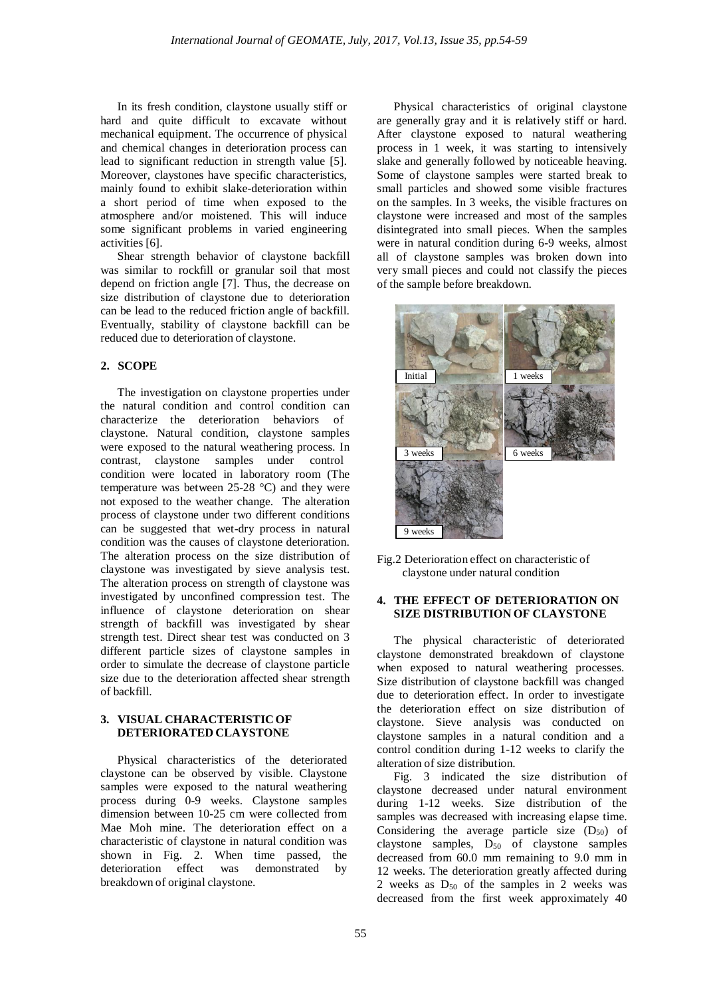In its fresh condition, claystone usually stiff or hard and quite difficult to excavate without mechanical equipment. The occurrence of physical and chemical changes in deterioration process can lead to significant reduction in strength value [5]. Moreover, claystones have specific characteristics, mainly found to exhibit slake-deterioration within a short period of time when exposed to the atmosphere and/or moistened. This will induce some significant problems in varied engineering activities [6].

Shear strength behavior of claystone backfill was similar to rockfill or granular soil that most depend on friction angle [7]. Thus, the decrease on size distribution of claystone due to deterioration can be lead to the reduced friction angle of backfill. Eventually, stability of claystone backfill can be reduced due to deterioration of claystone.

# **2. SCOPE**

The investigation on claystone properties under the natural condition and control condition can characterize the deterioration behaviors of claystone. Natural condition, claystone samples were exposed to the natural weathering process. In contrast, claystone samples under control condition were located in laboratory room (The temperature was between 25-28 °C) and they were not exposed to the weather change. The alteration process of claystone under two different conditions can be suggested that wet-dry process in natural condition was the causes of claystone deterioration. The alteration process on the size distribution of claystone was investigated by sieve analysis test. The alteration process on strength of claystone was investigated by unconfined compression test. The influence of claystone deterioration on shear strength of backfill was investigated by shear strength test. Direct shear test was conducted on 3 different particle sizes of claystone samples in order to simulate the decrease of claystone particle size due to the deterioration affected shear strength of backfill.

# **3. VISUAL CHARACTERISTIC OF DETERIORATED CLAYSTONE**

Physical characteristics of the deteriorated claystone can be observed by visible. Claystone samples were exposed to the natural weathering process during 0-9 weeks. Claystone samples dimension between 10-25 cm were collected from Mae Moh mine. The deterioration effect on a characteristic of claystone in natural condition was shown in Fig. 2. When time passed, the deterioration effect was demonstrated by breakdown of original claystone.

Physical characteristics of original claystone are generally gray and it is relatively stiff or hard. After claystone exposed to natural weathering process in 1 week, it was starting to intensively slake and generally followed by noticeable heaving. Some of claystone samples were started break to small particles and showed some visible fractures on the samples. In 3 weeks, the visible fractures on claystone were increased and most of the samples disintegrated into small pieces. When the samples were in natural condition during 6-9 weeks, almost all of claystone samples was broken down into very small pieces and could not classify the pieces of the sample before breakdown.





# **4. THE EFFECT OF DETERIORATION ON SIZE DISTRIBUTION OF CLAYSTONE**

The physical characteristic of deteriorated claystone demonstrated breakdown of claystone when exposed to natural weathering processes. Size distribution of claystone backfill was changed due to deterioration effect. In order to investigate the deterioration effect on size distribution of claystone. Sieve analysis was conducted on claystone samples in a natural condition and a control condition during 1-12 weeks to clarify the alteration of size distribution.

Fig. 3 indicated the size distribution of claystone decreased under natural environment during 1-12 weeks. Size distribution of the samples was decreased with increasing elapse time. Considering the average particle size  $(D_{50})$  of claystone samples,  $D_{50}$  of claystone samples decreased from 60.0 mm remaining to 9.0 mm in 12 weeks. The deterioration greatly affected during 2 weeks as  $D_{50}$  of the samples in 2 weeks was decreased from the first week approximately 40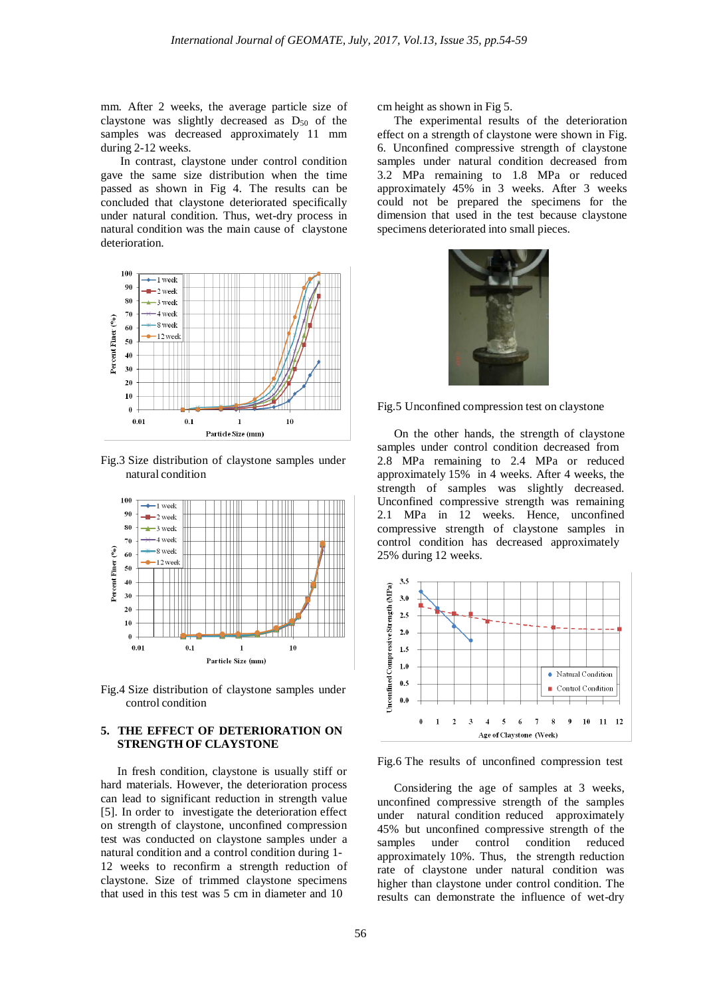mm. After 2 weeks, the average particle size of claystone was slightly decreased as D<sub>50</sub> of the samples was decreased approximately 11 mm during 2-12 weeks.

In contrast, claystone under control condition gave the same size distribution when the time passed as shown in Fig 4. The results can be concluded that claystone deteriorated specifically under natural condition. Thus, wet-dry process in natural condition was the main cause of claystone deterioration.



Fig.3 Size distribution of claystone samples under natural condition



Fig.4 Size distribution of claystone samples under control condition

#### **5. THE EFFECT OF DETERIORATION ON STRENGTH OF CLAYSTONE**

In fresh condition, claystone is usually stiff or hard materials. However, the deterioration process can lead to significant reduction in strength value [5]. In order to investigate the deterioration effect on strength of claystone, unconfined compression test was conducted on claystone samples under a natural condition and a control condition during 1- 12 weeks to reconfirm a strength reduction of claystone. Size of trimmed claystone specimens that used in this test was 5 cm in diameter and 10

cm height as shown in Fig 5.

The experimental results of the deterioration effect on a strength of claystone were shown in Fig. 6. Unconfined compressive strength of claystone samples under natural condition decreased from 3.2 MPa remaining to 1.8 MPa or reduced approximately 45% in 3 weeks. After 3 weeks could not be prepared the specimens for the dimension that used in the test because claystone specimens deteriorated into small pieces.



Fig.5 Unconfined compression test on claystone

On the other hands, the strength of claystone samples under control condition decreased from 2.8 MPa remaining to 2.4 MPa or reduced approximately 15% in 4 weeks. After 4 weeks, the strength of samples was slightly decreased. Unconfined compressive strength was remaining 2.1 MPa in 12 weeks. Hence, unconfined compressive strength of claystone samples in control condition has decreased approximately 25% during 12 weeks.



Fig.6 The results of unconfined compression test

Considering the age of samples at 3 weeks, unconfined compressive strength of the samples under natural condition reduced approximately 45% but unconfined compressive strength of the samples under control condition reduced approximately 10%. Thus, the strength reduction rate of claystone under natural condition was higher than claystone under control condition. The results can demonstrate the influence of wet-dry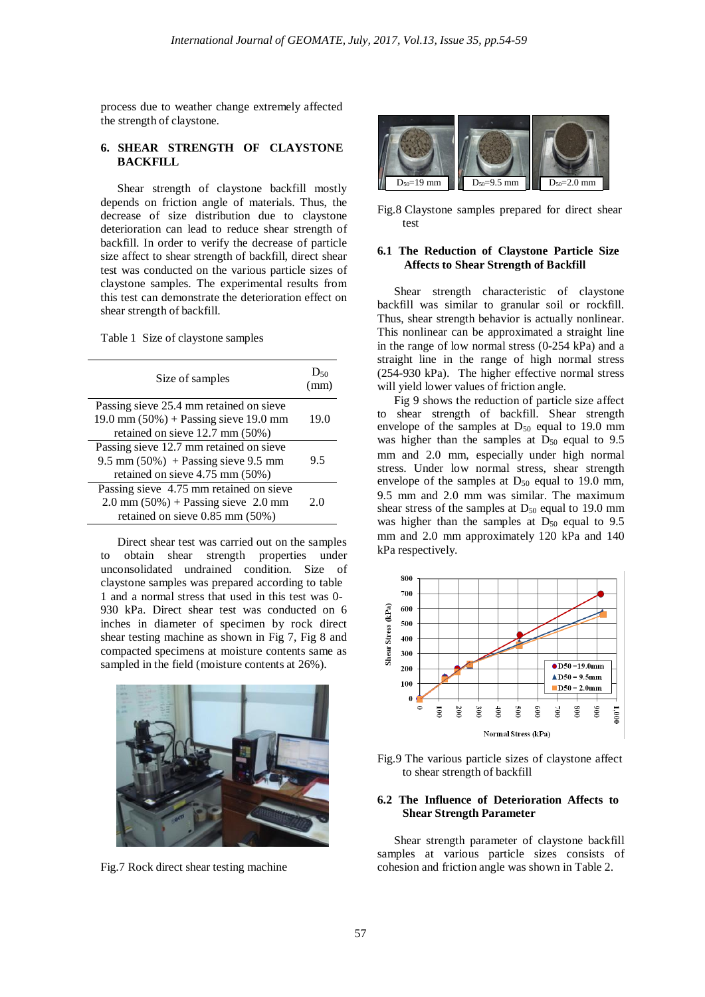process due to weather change extremely affected the strength of claystone.

# **6. SHEAR STRENGTH OF CLAYSTONE BACKFILL**

Shear strength of claystone backfill mostly depends on friction angle of materials. Thus, the decrease of size distribution due to claystone deterioration can lead to reduce shear strength of backfill. In order to verify the decrease of particle size affect to shear strength of backfill, direct shear test was conducted on the various particle sizes of claystone samples. The experimental results from this test can demonstrate the deterioration effect on shear strength of backfill.

Table 1 Size of claystone samples

| Size of samples                                                                                                             | D <sub>50</sub><br>(mm) |
|-----------------------------------------------------------------------------------------------------------------------------|-------------------------|
| Passing sieve 25.4 mm retained on sieve<br>19.0 mm $(50\%)$ + Passing sieve 19.0 mm<br>retained on sieve 12.7 mm (50%)      | 19.0                    |
| Passing sieve 12.7 mm retained on sieve<br>9.5 mm $(50\%)$ + Passing sieve 9.5 mm<br>retained on sieve 4.75 mm (50%)        | 9.5                     |
| Passing sieve 4.75 mm retained on sieve<br>$2.0$ mm $(50\%)$ + Passing sieve 2.0 mm<br>retained on sieve $0.85$ mm $(50\%)$ | 2.0                     |

Direct shear test was carried out on the samples to obtain shear strength properties under unconsolidated undrained condition. Size of claystone samples was prepared according to table 1 and a normal stress that used in this test was 0- 930 kPa. Direct shear test was conducted on 6 inches in diameter of specimen by rock direct shear testing machine as shown in Fig 7, Fig 8 and compacted specimens at moisture contents same as sampled in the field (moisture contents at 26%).



Fig.7 Rock direct shear testing machine



Fig.8 Claystone samples prepared for direct shear test

#### **6.1 The Reduction of Claystone Particle Size Affects to Shear Strength of Backfill**

Shear strength characteristic of claystone backfill was similar to granular soil or rockfill. Thus, shear strength behavior is actually nonlinear. This nonlinear can be approximated a straight line in the range of low normal stress (0-254 kPa) and a straight line in the range of high normal stress (254-930 kPa). The higher effective normal stress will yield lower values of friction angle.

Fig 9 shows the reduction of particle size affect to shear strength of backfill. Shear strength envelope of the samples at  $D_{50}$  equal to 19.0 mm was higher than the samples at  $D_{50}$  equal to 9.5 mm and 2.0 mm, especially under high normal stress. Under low normal stress, shear strength envelope of the samples at  $D_{50}$  equal to 19.0 mm, 9.5 mm and 2.0 mm was similar. The maximum shear stress of the samples at  $D_{50}$  equal to 19.0 mm was higher than the samples at  $D_{50}$  equal to 9.5 mm and 2.0 mm approximately 120 kPa and 140 kPa respectively.



Fig.9 The various particle sizes of claystone affect to shear strength of backfill

#### **6.2 The Influence of Deterioration Affects to Shear Strength Parameter**

Shear strength parameter of claystone backfill samples at various particle sizes consists of cohesion and friction angle was shown in Table 2.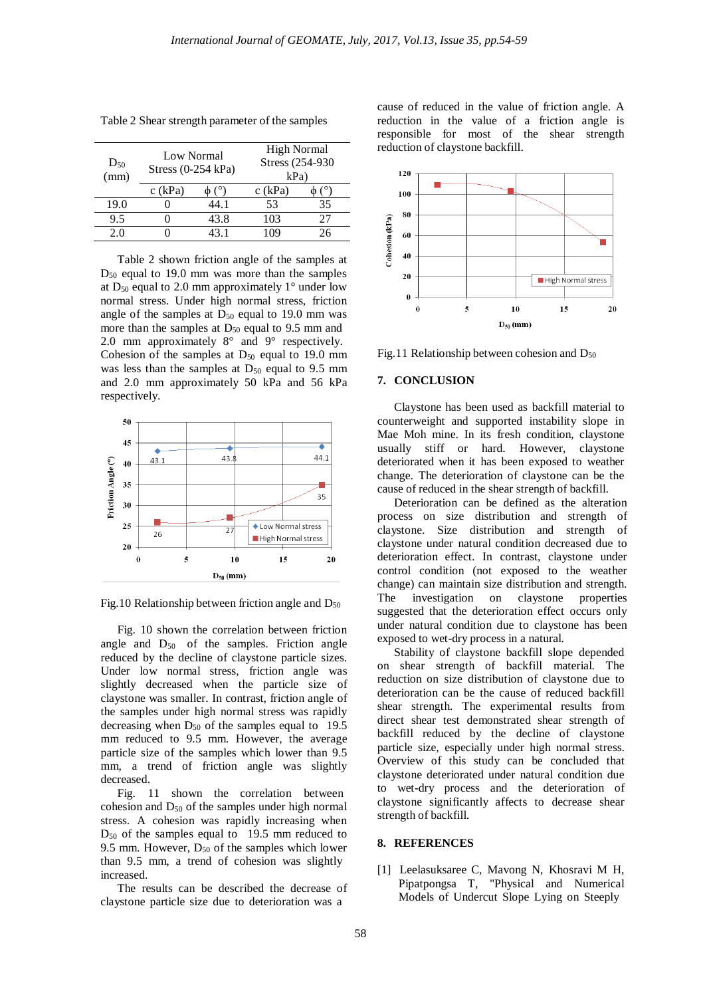| $D_{50}$<br>(mm) | Low Normal<br>Stress $(0-254$ kPa) |      | <b>High Normal</b><br>Stress (254-930)<br>$kPa$ ) |    |
|------------------|------------------------------------|------|---------------------------------------------------|----|
|                  | $c$ (kPa)                          |      | $c$ (kPa)                                         |    |
| 19.0             |                                    | 44.1 | 53                                                | 35 |
| 9.5              |                                    | 43.8 | 103                                               | 77 |
| 20               |                                    | 43 1 | 09                                                |    |

Table 2 Shear strength parameter of the samples

Table 2 shown friction angle of the samples at  $D_{50}$  equal to 19.0 mm was more than the samples at  $D_{50}$  equal to 2.0 mm approximately 1 $\degree$  under low normal stress. Under high normal stress, friction angle of the samples at  $D_{50}$  equal to 19.0 mm was more than the samples at  $D_{50}$  equal to 9.5 mm and 2.0 mm approximately 8° and 9° respectively. Cohesion of the samples at  $D_{50}$  equal to 19.0 mm was less than the samples at  $D_{50}$  equal to 9.5 mm and 2.0 mm approximately 50 kPa and 56 kPa respectively.



Fig.10 Relationship between friction angle and  $D_{50}$ 

Fig. 10 shown the correlation between friction angle and  $D_{50}$  of the samples. Friction angle reduced by the decline of claystone particle sizes. Under low normal stress, friction angle was slightly decreased when the particle size of claystone was smaller. In contrast, friction angle of the samples under high normal stress was rapidly decreasing when  $D_{50}$  of the samples equal to 19.5 mm reduced to 9.5 mm. However, the average particle size of the samples which lower than 9.5 mm, a trend of friction angle was slightly decreased.

Fig. 11 shown the correlation between cohesion and D<sup>50</sup> of the samples under high normal stress. A cohesion was rapidly increasing when  $D_{50}$  of the samples equal to 19.5 mm reduced to 9.5 mm. However,  $D_{50}$  of the samples which lower than 9.5 mm, a trend of cohesion was slightly increased.

The results can be described the decrease of claystone particle size due to deterioration was a

cause of reduced in the value of friction angle. A reduction in the value of a friction angle is responsible for most of the shear strength reduction of claystone backfill.



Fig.11 Relationship between cohesion and  $D_{50}$ 

#### **7. CONCLUSION**

Claystone has been used as backfill material to counterweight and supported instability slope in Mae Moh mine. In its fresh condition, claystone usually stiff or hard. However, claystone deteriorated when it has been exposed to weather change. The deterioration of claystone can be the cause of reduced in the shear strength of backfill.

Deterioration can be defined as the alteration process on size distribution and strength of claystone. Size distribution and strength of claystone under natural condition decreased due to deterioration effect. In contrast, claystone under control condition (not exposed to the weather change) can maintain size distribution and strength. The investigation on claystone properties suggested that the deterioration effect occurs only under natural condition due to claystone has been exposed to wet-dry process in a natural.

Stability of claystone backfill slope depended on shear strength of backfill material. The reduction on size distribution of claystone due to deterioration can be the cause of reduced backfill shear strength. The experimental results from direct shear test demonstrated shear strength of backfill reduced by the decline of claystone particle size, especially under high normal stress. Overview of this study can be concluded that claystone deteriorated under natural condition due to wet-dry process and the deterioration of claystone significantly affects to decrease shear strength of backfill.

#### **8. REFERENCES**

[1] Leelasuksaree C, Mavong N, Khosravi M H, Pipatpongsa T, "Physical and Numerical Models of Undercut Slope Lying on Steeply